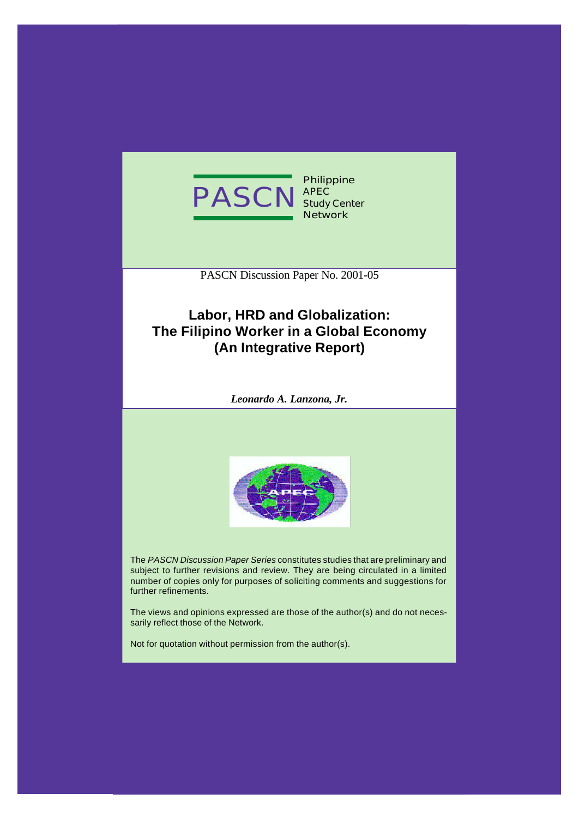

**Philippine APEC Study Center Network**

PASCN Discussion Paper No. 2001-05

# **Labor, HRD and Globalization: The Filipino Worker in a Global Economy (An Integrative Report)**

*Leonardo A. Lanzona, Jr.*



The *PASCN Discussion Paper Series* constitutes studies that are preliminary and subject to further revisions and review. They are being circulated in a limited number of copies only for purposes of soliciting comments and suggestions for further refinements.

The views and opinions expressed are those of the author(s) and do not necessarily reflect those of the Network.

Not for quotation without permission from the author(s).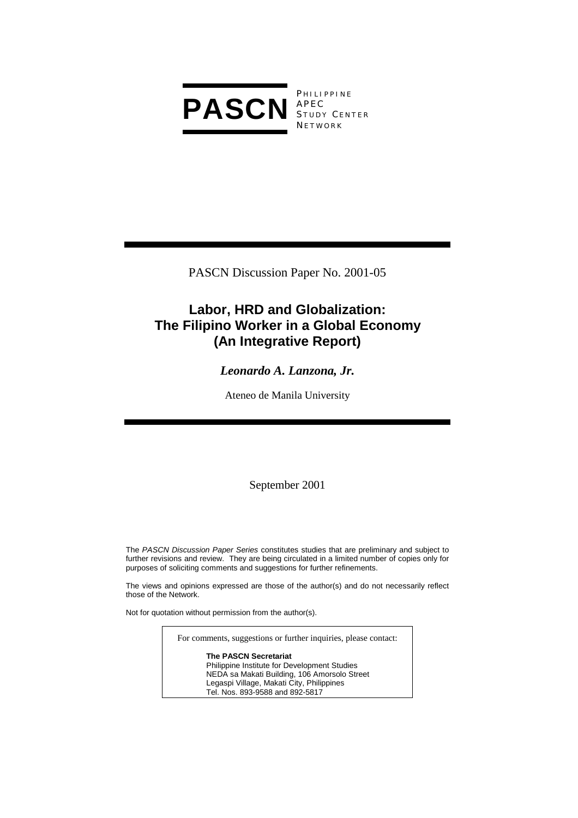

**PHILIPPINE** S TUDY C ENTER **NETWORK** 

PASCN Discussion Paper No. 2001-05

# **Labor, HRD and Globalization: The Filipino Worker in a Global Economy (An Integrative Report)**

# *Leonardo A. Lanzona, Jr.*

Ateneo de Manila University

September 2001

The *PASCN Discussion Paper Series* constitutes studies that are preliminary and subject to further revisions and review. They are being circulated in a limited number of copies only for purposes of soliciting comments and suggestions for further refinements.

The views and opinions expressed are those of the author(s) and do not necessarily reflect those of the Network.

Not for quotation without permission from the author(s).

For comments, suggestions or further inquiries, please contact:

**The PASCN Secretariat** Philippine Institute for Development Studies NEDA sa Makati Building, 106 Amorsolo Street Legaspi Village, Makati City, Philippines Tel. Nos. 893-9588 and 892-5817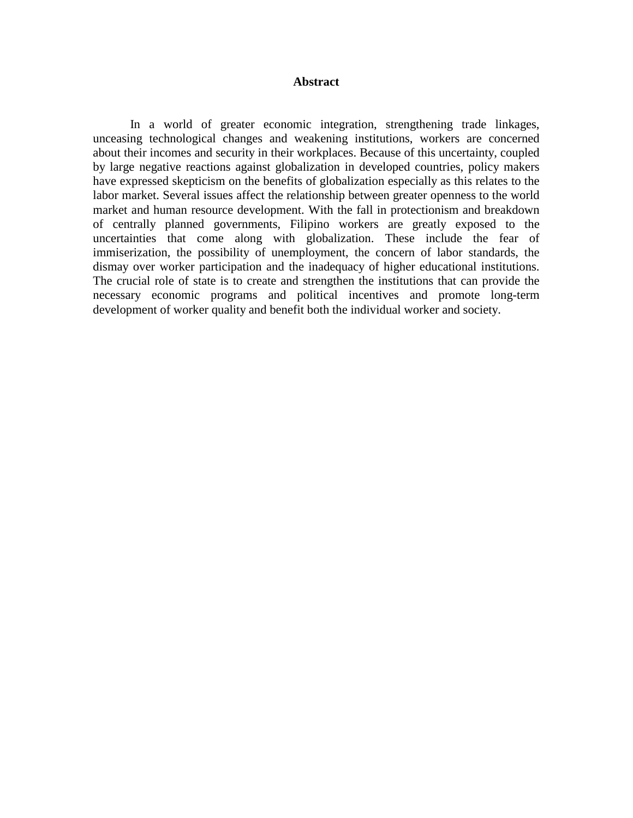#### **Abstract**

In a world of greater economic integration, strengthening trade linkages, unceasing technological changes and weakening institutions, workers are concerned about their incomes and security in their workplaces. Because of this uncertainty, coupled by large negative reactions against globalization in developed countries, policy makers have expressed skepticism on the benefits of globalization especially as this relates to the labor market. Several issues affect the relationship between greater openness to the world market and human resource development. With the fall in protectionism and breakdown of centrally planned governments, Filipino workers are greatly exposed to the uncertainties that come along with globalization. These include the fear of immiserization, the possibility of unemployment, the concern of labor standards, the dismay over worker participation and the inadequacy of higher educational institutions. The crucial role of state is to create and strengthen the institutions that can provide the necessary economic programs and political incentives and promote long-term development of worker quality and benefit both the individual worker and society.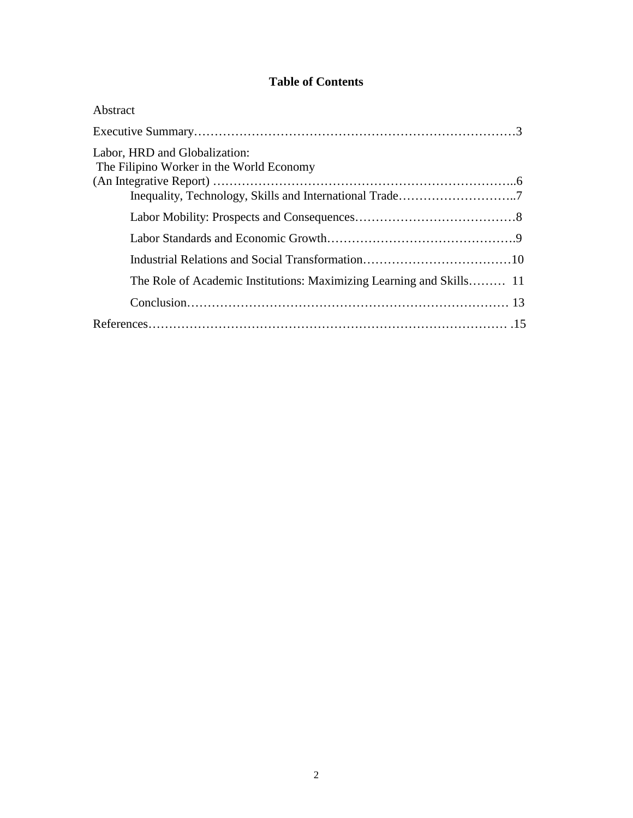# **Table of Contents**

| Abstract                                                                  |  |
|---------------------------------------------------------------------------|--|
|                                                                           |  |
| Labor, HRD and Globalization:<br>The Filipino Worker in the World Economy |  |
|                                                                           |  |
|                                                                           |  |
|                                                                           |  |
|                                                                           |  |
| The Role of Academic Institutions: Maximizing Learning and Skills 11      |  |
|                                                                           |  |
|                                                                           |  |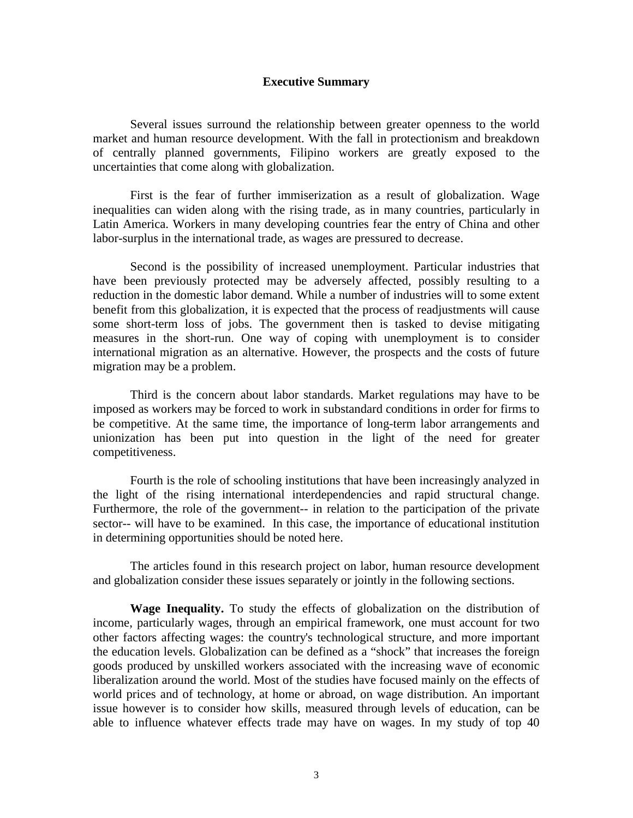#### **Executive Summary**

 Several issues surround the relationship between greater openness to the world market and human resource development. With the fall in protectionism and breakdown of centrally planned governments, Filipino workers are greatly exposed to the uncertainties that come along with globalization.

 First is the fear of further immiserization as a result of globalization. Wage inequalities can widen along with the rising trade, as in many countries, particularly in Latin America. Workers in many developing countries fear the entry of China and other labor-surplus in the international trade, as wages are pressured to decrease.

 Second is the possibility of increased unemployment. Particular industries that have been previously protected may be adversely affected, possibly resulting to a reduction in the domestic labor demand. While a number of industries will to some extent benefit from this globalization, it is expected that the process of readjustments will cause some short-term loss of jobs. The government then is tasked to devise mitigating measures in the short-run. One way of coping with unemployment is to consider international migration as an alternative. However, the prospects and the costs of future migration may be a problem.

 Third is the concern about labor standards. Market regulations may have to be imposed as workers may be forced to work in substandard conditions in order for firms to be competitive. At the same time, the importance of long-term labor arrangements and unionization has been put into question in the light of the need for greater competitiveness.

 Fourth is the role of schooling institutions that have been increasingly analyzed in the light of the rising international interdependencies and rapid structural change. Furthermore, the role of the government-- in relation to the participation of the private sector-- will have to be examined. In this case, the importance of educational institution in determining opportunities should be noted here.

The articles found in this research project on labor, human resource development and globalization consider these issues separately or jointly in the following sections.

**Wage Inequality.** To study the effects of globalization on the distribution of income, particularly wages, through an empirical framework, one must account for two other factors affecting wages: the country's technological structure, and more important the education levels. Globalization can be defined as a "shock" that increases the foreign goods produced by unskilled workers associated with the increasing wave of economic liberalization around the world. Most of the studies have focused mainly on the effects of world prices and of technology, at home or abroad, on wage distribution. An important issue however is to consider how skills, measured through levels of education, can be able to influence whatever effects trade may have on wages. In my study of top 40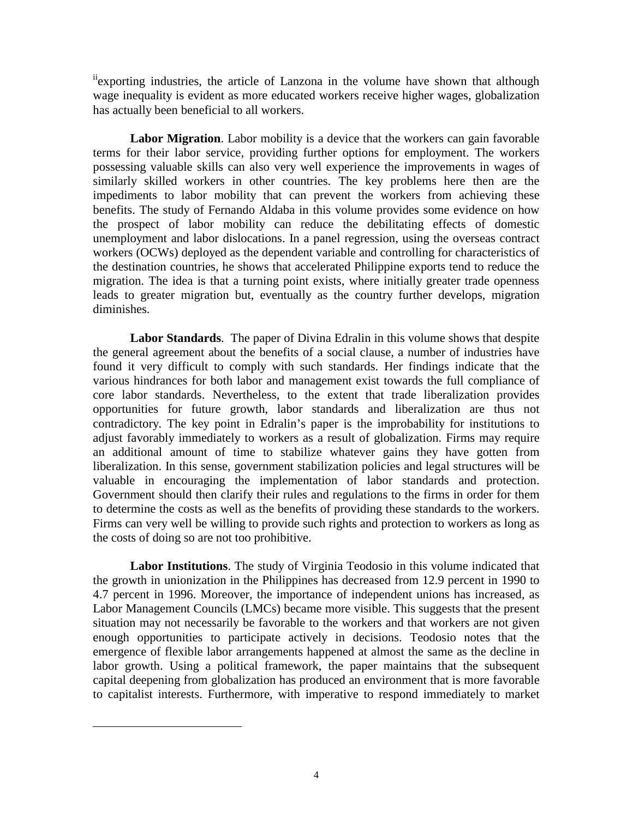iiexporting industries, the article of Lanzona in the volume have shown that although wage inequality is evident as more educated workers receive higher wages, globalization has actually been beneficial to all workers.

**Labor Migration**. Labor mobility is a device that the workers can gain favorable terms for their labor service, providing further options for employment. The workers possessing valuable skills can also very well experience the improvements in wages of similarly skilled workers in other countries. The key problems here then are the impediments to labor mobility that can prevent the workers from achieving these benefits. The study of Fernando Aldaba in this volume provides some evidence on how the prospect of labor mobility can reduce the debilitating effects of domestic unemployment and labor dislocations. In a panel regression, using the overseas contract workers (OCWs) deployed as the dependent variable and controlling for characteristics of the destination countries, he shows that accelerated Philippine exports tend to reduce the migration. The idea is that a turning point exists, where initially greater trade openness leads to greater migration but, eventually as the country further develops, migration diminishes.

**Labor Standards**. The paper of Divina Edralin in this volume shows that despite the general agreement about the benefits of a social clause, a number of industries have found it very difficult to comply with such standards. Her findings indicate that the various hindrances for both labor and management exist towards the full compliance of core labor standards. Nevertheless, to the extent that trade liberalization provides opportunities for future growth, labor standards and liberalization are thus not contradictory. The key point in Edralin's paper is the improbability for institutions to adjust favorably immediately to workers as a result of globalization. Firms may require an additional amount of time to stabilize whatever gains they have gotten from liberalization. In this sense, government stabilization policies and legal structures will be valuable in encouraging the implementation of labor standards and protection. Government should then clarify their rules and regulations to the firms in order for them to determine the costs as well as the benefits of providing these standards to the workers. Firms can very well be willing to provide such rights and protection to workers as long as the costs of doing so are not too prohibitive.

**Labor Institutions**. The study of Virginia Teodosio in this volume indicated that the growth in unionization in the Philippines has decreased from 12.9 percent in 1990 to 4.7 percent in 1996. Moreover, the importance of independent unions has increased, as Labor Management Councils (LMCs) became more visible. This suggests that the present situation may not necessarily be favorable to the workers and that workers are not given enough opportunities to participate actively in decisions. Teodosio notes that the emergence of flexible labor arrangements happened at almost the same as the decline in labor growth. Using a political framework, the paper maintains that the subsequent capital deepening from globalization has produced an environment that is more favorable to capitalist interests. Furthermore, with imperative to respond immediately to market

 $\overline{a}$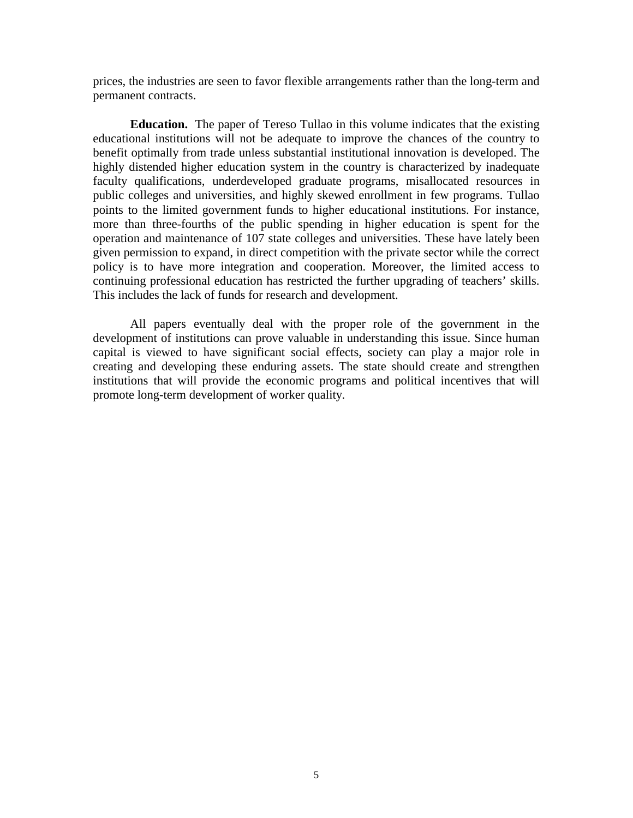prices, the industries are seen to favor flexible arrangements rather than the long-term and permanent contracts.

**Education.** The paper of Tereso Tullao in this volume indicates that the existing educational institutions will not be adequate to improve the chances of the country to benefit optimally from trade unless substantial institutional innovation is developed. The highly distended higher education system in the country is characterized by inadequate faculty qualifications, underdeveloped graduate programs, misallocated resources in public colleges and universities, and highly skewed enrollment in few programs. Tullao points to the limited government funds to higher educational institutions. For instance, more than three-fourths of the public spending in higher education is spent for the operation and maintenance of 107 state colleges and universities. These have lately been given permission to expand, in direct competition with the private sector while the correct policy is to have more integration and cooperation. Moreover, the limited access to continuing professional education has restricted the further upgrading of teachers' skills. This includes the lack of funds for research and development.

All papers eventually deal with the proper role of the government in the development of institutions can prove valuable in understanding this issue. Since human capital is viewed to have significant social effects, society can play a major role in creating and developing these enduring assets. The state should create and strengthen institutions that will provide the economic programs and political incentives that will promote long-term development of worker quality.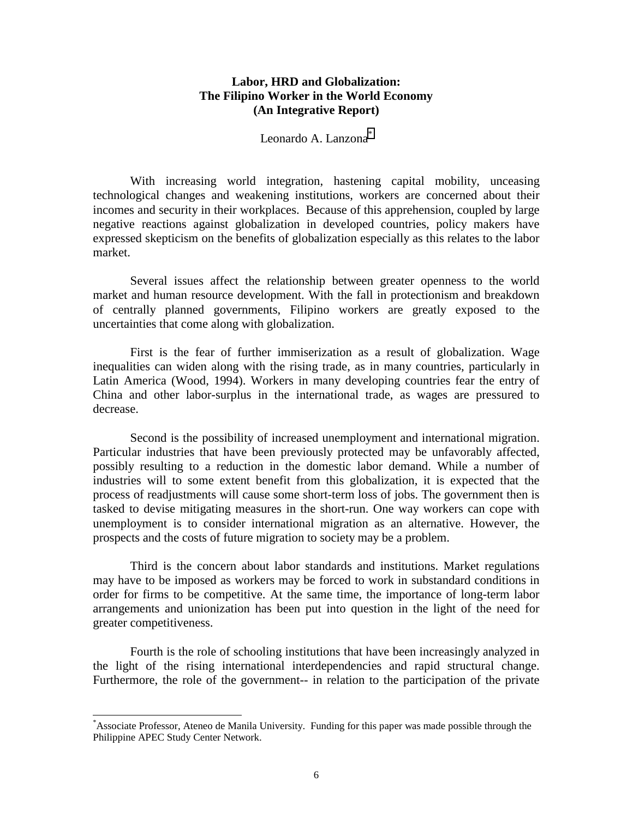# **Labor, HRD and Globalization: The Filipino Worker in the World Economy (An Integrative Report)**

# Leonardo A. Lanzona<sup>\*</sup>

With increasing world integration, hastening capital mobility, unceasing technological changes and weakening institutions, workers are concerned about their incomes and security in their workplaces. Because of this apprehension, coupled by large negative reactions against globalization in developed countries, policy makers have expressed skepticism on the benefits of globalization especially as this relates to the labor market.

 Several issues affect the relationship between greater openness to the world market and human resource development. With the fall in protectionism and breakdown of centrally planned governments, Filipino workers are greatly exposed to the uncertainties that come along with globalization.

 First is the fear of further immiserization as a result of globalization. Wage inequalities can widen along with the rising trade, as in many countries, particularly in Latin America (Wood, 1994). Workers in many developing countries fear the entry of China and other labor-surplus in the international trade, as wages are pressured to decrease.

 Second is the possibility of increased unemployment and international migration. Particular industries that have been previously protected may be unfavorably affected, possibly resulting to a reduction in the domestic labor demand. While a number of industries will to some extent benefit from this globalization, it is expected that the process of readjustments will cause some short-term loss of jobs. The government then is tasked to devise mitigating measures in the short-run. One way workers can cope with unemployment is to consider international migration as an alternative. However, the prospects and the costs of future migration to society may be a problem.

 Third is the concern about labor standards and institutions. Market regulations may have to be imposed as workers may be forced to work in substandard conditions in order for firms to be competitive. At the same time, the importance of long-term labor arrangements and unionization has been put into question in the light of the need for greater competitiveness.

 Fourth is the role of schooling institutions that have been increasingly analyzed in the light of the rising international interdependencies and rapid structural change. Furthermore, the role of the government-- in relation to the participation of the private

 $\overline{\phantom{a}}$ 

<sup>\*</sup> Associate Professor, Ateneo de Manila University. Funding for this paper was made possible through the Philippine APEC Study Center Network.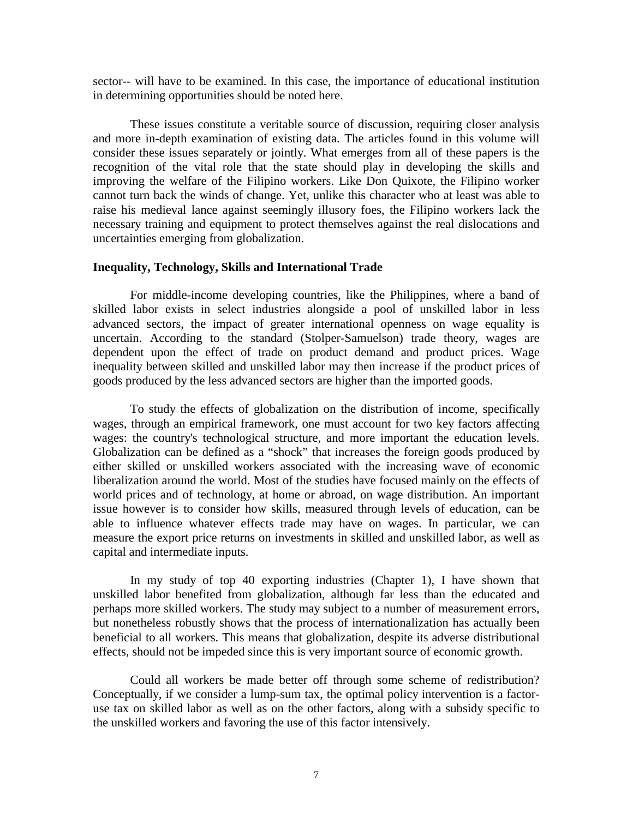sector-- will have to be examined. In this case, the importance of educational institution in determining opportunities should be noted here.

These issues constitute a veritable source of discussion, requiring closer analysis and more in-depth examination of existing data. The articles found in this volume will consider these issues separately or jointly. What emerges from all of these papers is the recognition of the vital role that the state should play in developing the skills and improving the welfare of the Filipino workers. Like Don Quixote, the Filipino worker cannot turn back the winds of change. Yet, unlike this character who at least was able to raise his medieval lance against seemingly illusory foes, the Filipino workers lack the necessary training and equipment to protect themselves against the real dislocations and uncertainties emerging from globalization.

#### **Inequality, Technology, Skills and International Trade**

For middle-income developing countries, like the Philippines, where a band of skilled labor exists in select industries alongside a pool of unskilled labor in less advanced sectors, the impact of greater international openness on wage equality is uncertain. According to the standard (Stolper-Samuelson) trade theory, wages are dependent upon the effect of trade on product demand and product prices. Wage inequality between skilled and unskilled labor may then increase if the product prices of goods produced by the less advanced sectors are higher than the imported goods.

To study the effects of globalization on the distribution of income, specifically wages, through an empirical framework, one must account for two key factors affecting wages: the country's technological structure, and more important the education levels. Globalization can be defined as a "shock" that increases the foreign goods produced by either skilled or unskilled workers associated with the increasing wave of economic liberalization around the world. Most of the studies have focused mainly on the effects of world prices and of technology, at home or abroad, on wage distribution. An important issue however is to consider how skills, measured through levels of education, can be able to influence whatever effects trade may have on wages. In particular, we can measure the export price returns on investments in skilled and unskilled labor, as well as capital and intermediate inputs.

In my study of top 40 exporting industries (Chapter 1), I have shown that unskilled labor benefited from globalization, although far less than the educated and perhaps more skilled workers. The study may subject to a number of measurement errors, but nonetheless robustly shows that the process of internationalization has actually been beneficial to all workers. This means that globalization, despite its adverse distributional effects, should not be impeded since this is very important source of economic growth.

Could all workers be made better off through some scheme of redistribution? Conceptually, if we consider a lump-sum tax, the optimal policy intervention is a factoruse tax on skilled labor as well as on the other factors, along with a subsidy specific to the unskilled workers and favoring the use of this factor intensively.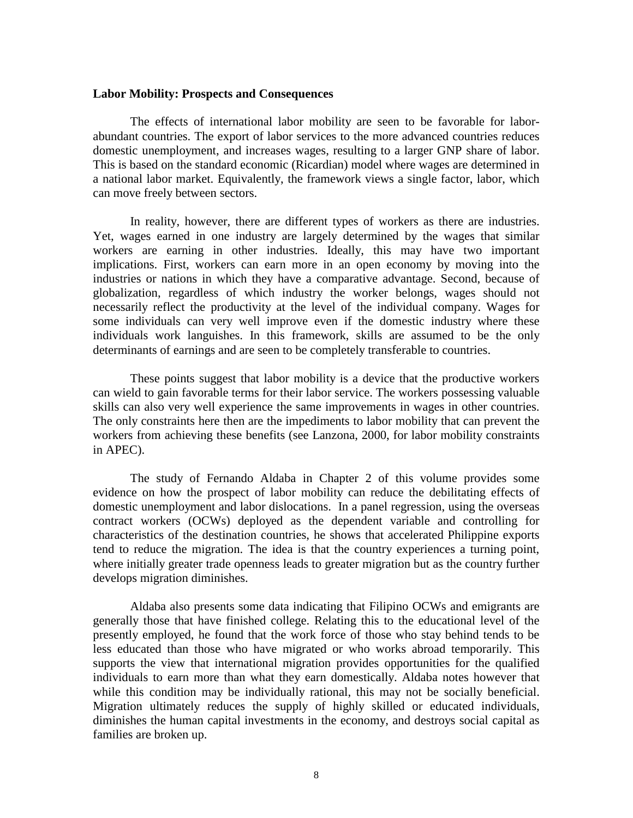#### **Labor Mobility: Prospects and Consequences**

The effects of international labor mobility are seen to be favorable for laborabundant countries. The export of labor services to the more advanced countries reduces domestic unemployment, and increases wages, resulting to a larger GNP share of labor. This is based on the standard economic (Ricardian) model where wages are determined in a national labor market. Equivalently, the framework views a single factor, labor, which can move freely between sectors.

In reality, however, there are different types of workers as there are industries. Yet, wages earned in one industry are largely determined by the wages that similar workers are earning in other industries. Ideally, this may have two important implications. First, workers can earn more in an open economy by moving into the industries or nations in which they have a comparative advantage. Second, because of globalization, regardless of which industry the worker belongs, wages should not necessarily reflect the productivity at the level of the individual company. Wages for some individuals can very well improve even if the domestic industry where these individuals work languishes. In this framework, skills are assumed to be the only determinants of earnings and are seen to be completely transferable to countries.

These points suggest that labor mobility is a device that the productive workers can wield to gain favorable terms for their labor service. The workers possessing valuable skills can also very well experience the same improvements in wages in other countries. The only constraints here then are the impediments to labor mobility that can prevent the workers from achieving these benefits (see Lanzona, 2000, for labor mobility constraints in APEC).

The study of Fernando Aldaba in Chapter 2 of this volume provides some evidence on how the prospect of labor mobility can reduce the debilitating effects of domestic unemployment and labor dislocations. In a panel regression, using the overseas contract workers (OCWs) deployed as the dependent variable and controlling for characteristics of the destination countries, he shows that accelerated Philippine exports tend to reduce the migration. The idea is that the country experiences a turning point, where initially greater trade openness leads to greater migration but as the country further develops migration diminishes.

Aldaba also presents some data indicating that Filipino OCWs and emigrants are generally those that have finished college. Relating this to the educational level of the presently employed, he found that the work force of those who stay behind tends to be less educated than those who have migrated or who works abroad temporarily. This supports the view that international migration provides opportunities for the qualified individuals to earn more than what they earn domestically. Aldaba notes however that while this condition may be individually rational, this may not be socially beneficial. Migration ultimately reduces the supply of highly skilled or educated individuals, diminishes the human capital investments in the economy, and destroys social capital as families are broken up.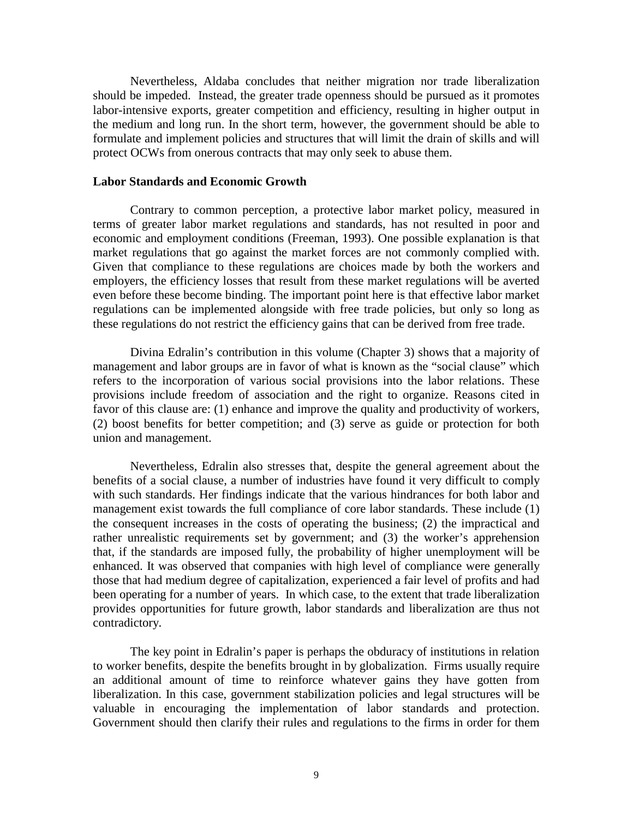Nevertheless, Aldaba concludes that neither migration nor trade liberalization should be impeded. Instead, the greater trade openness should be pursued as it promotes labor-intensive exports, greater competition and efficiency, resulting in higher output in the medium and long run. In the short term, however, the government should be able to formulate and implement policies and structures that will limit the drain of skills and will protect OCWs from onerous contracts that may only seek to abuse them.

# **Labor Standards and Economic Growth**

Contrary to common perception, a protective labor market policy, measured in terms of greater labor market regulations and standards, has not resulted in poor and economic and employment conditions (Freeman, 1993). One possible explanation is that market regulations that go against the market forces are not commonly complied with. Given that compliance to these regulations are choices made by both the workers and employers, the efficiency losses that result from these market regulations will be averted even before these become binding. The important point here is that effective labor market regulations can be implemented alongside with free trade policies, but only so long as these regulations do not restrict the efficiency gains that can be derived from free trade.

Divina Edralin's contribution in this volume (Chapter 3) shows that a majority of management and labor groups are in favor of what is known as the "social clause" which refers to the incorporation of various social provisions into the labor relations. These provisions include freedom of association and the right to organize. Reasons cited in favor of this clause are: (1) enhance and improve the quality and productivity of workers, (2) boost benefits for better competition; and (3) serve as guide or protection for both union and management.

Nevertheless, Edralin also stresses that, despite the general agreement about the benefits of a social clause, a number of industries have found it very difficult to comply with such standards. Her findings indicate that the various hindrances for both labor and management exist towards the full compliance of core labor standards. These include (1) the consequent increases in the costs of operating the business; (2) the impractical and rather unrealistic requirements set by government; and (3) the worker's apprehension that, if the standards are imposed fully, the probability of higher unemployment will be enhanced. It was observed that companies with high level of compliance were generally those that had medium degree of capitalization, experienced a fair level of profits and had been operating for a number of years. In which case, to the extent that trade liberalization provides opportunities for future growth, labor standards and liberalization are thus not contradictory.

The key point in Edralin's paper is perhaps the obduracy of institutions in relation to worker benefits, despite the benefits brought in by globalization. Firms usually require an additional amount of time to reinforce whatever gains they have gotten from liberalization. In this case, government stabilization policies and legal structures will be valuable in encouraging the implementation of labor standards and protection. Government should then clarify their rules and regulations to the firms in order for them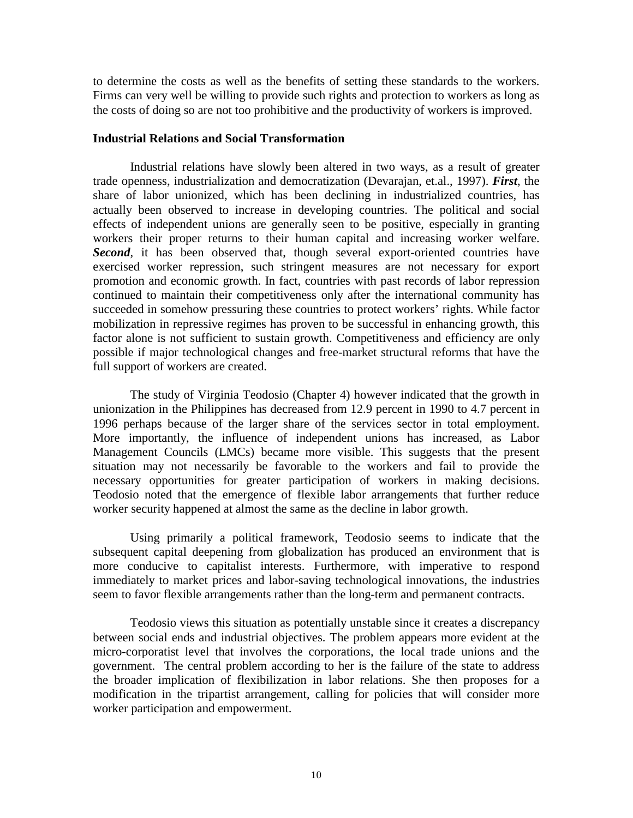to determine the costs as well as the benefits of setting these standards to the workers. Firms can very well be willing to provide such rights and protection to workers as long as the costs of doing so are not too prohibitive and the productivity of workers is improved.

## **Industrial Relations and Social Transformation**

Industrial relations have slowly been altered in two ways, as a result of greater trade openness, industrialization and democratization (Devarajan, et.al., 1997). *First*, the share of labor unionized, which has been declining in industrialized countries, has actually been observed to increase in developing countries. The political and social effects of independent unions are generally seen to be positive, especially in granting workers their proper returns to their human capital and increasing worker welfare. *Second*, it has been observed that, though several export-oriented countries have exercised worker repression, such stringent measures are not necessary for export promotion and economic growth. In fact, countries with past records of labor repression continued to maintain their competitiveness only after the international community has succeeded in somehow pressuring these countries to protect workers' rights. While factor mobilization in repressive regimes has proven to be successful in enhancing growth, this factor alone is not sufficient to sustain growth. Competitiveness and efficiency are only possible if major technological changes and free-market structural reforms that have the full support of workers are created.

The study of Virginia Teodosio (Chapter 4) however indicated that the growth in unionization in the Philippines has decreased from 12.9 percent in 1990 to 4.7 percent in 1996 perhaps because of the larger share of the services sector in total employment. More importantly, the influence of independent unions has increased, as Labor Management Councils (LMCs) became more visible. This suggests that the present situation may not necessarily be favorable to the workers and fail to provide the necessary opportunities for greater participation of workers in making decisions. Teodosio noted that the emergence of flexible labor arrangements that further reduce worker security happened at almost the same as the decline in labor growth.

Using primarily a political framework, Teodosio seems to indicate that the subsequent capital deepening from globalization has produced an environment that is more conducive to capitalist interests. Furthermore, with imperative to respond immediately to market prices and labor-saving technological innovations, the industries seem to favor flexible arrangements rather than the long-term and permanent contracts.

Teodosio views this situation as potentially unstable since it creates a discrepancy between social ends and industrial objectives. The problem appears more evident at the micro-corporatist level that involves the corporations, the local trade unions and the government. The central problem according to her is the failure of the state to address the broader implication of flexibilization in labor relations. She then proposes for a modification in the tripartist arrangement, calling for policies that will consider more worker participation and empowerment.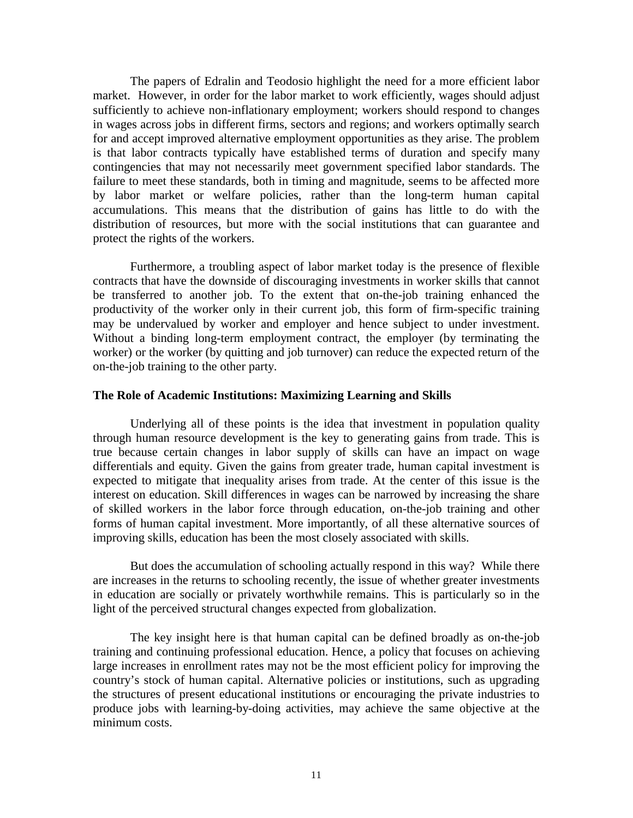The papers of Edralin and Teodosio highlight the need for a more efficient labor market. However, in order for the labor market to work efficiently, wages should adjust sufficiently to achieve non-inflationary employment; workers should respond to changes in wages across jobs in different firms, sectors and regions; and workers optimally search for and accept improved alternative employment opportunities as they arise. The problem is that labor contracts typically have established terms of duration and specify many contingencies that may not necessarily meet government specified labor standards. The failure to meet these standards, both in timing and magnitude, seems to be affected more by labor market or welfare policies, rather than the long-term human capital accumulations. This means that the distribution of gains has little to do with the distribution of resources, but more with the social institutions that can guarantee and protect the rights of the workers.

Furthermore, a troubling aspect of labor market today is the presence of flexible contracts that have the downside of discouraging investments in worker skills that cannot be transferred to another job. To the extent that on-the-job training enhanced the productivity of the worker only in their current job, this form of firm-specific training may be undervalued by worker and employer and hence subject to under investment. Without a binding long-term employment contract, the employer (by terminating the worker) or the worker (by quitting and job turnover) can reduce the expected return of the on-the-job training to the other party.

# **The Role of Academic Institutions: Maximizing Learning and Skills**

Underlying all of these points is the idea that investment in population quality through human resource development is the key to generating gains from trade. This is true because certain changes in labor supply of skills can have an impact on wage differentials and equity. Given the gains from greater trade, human capital investment is expected to mitigate that inequality arises from trade. At the center of this issue is the interest on education. Skill differences in wages can be narrowed by increasing the share of skilled workers in the labor force through education, on-the-job training and other forms of human capital investment. More importantly, of all these alternative sources of improving skills, education has been the most closely associated with skills.

But does the accumulation of schooling actually respond in this way? While there are increases in the returns to schooling recently, the issue of whether greater investments in education are socially or privately worthwhile remains. This is particularly so in the light of the perceived structural changes expected from globalization.

The key insight here is that human capital can be defined broadly as on-the-job training and continuing professional education. Hence, a policy that focuses on achieving large increases in enrollment rates may not be the most efficient policy for improving the country's stock of human capital. Alternative policies or institutions, such as upgrading the structures of present educational institutions or encouraging the private industries to produce jobs with learning-by-doing activities, may achieve the same objective at the minimum costs.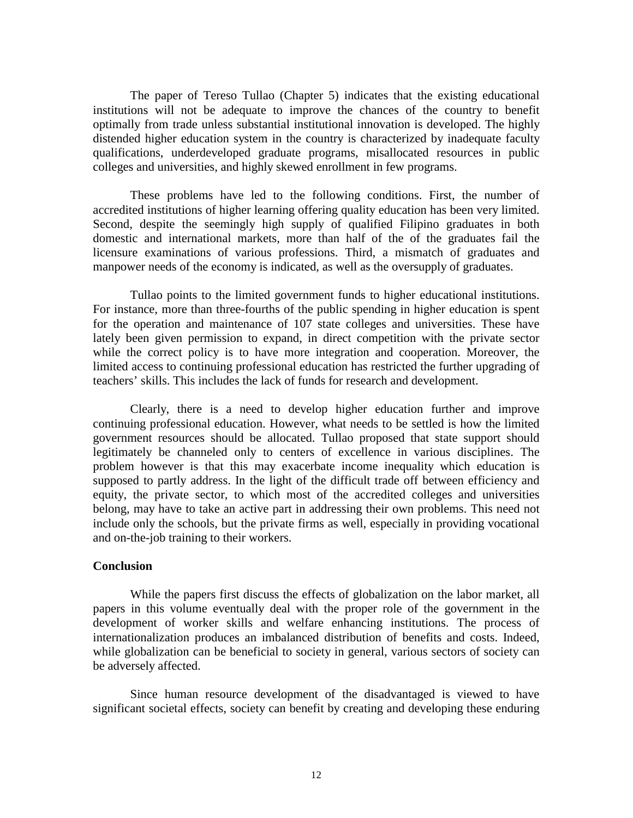The paper of Tereso Tullao (Chapter 5) indicates that the existing educational institutions will not be adequate to improve the chances of the country to benefit optimally from trade unless substantial institutional innovation is developed. The highly distended higher education system in the country is characterized by inadequate faculty qualifications, underdeveloped graduate programs, misallocated resources in public colleges and universities, and highly skewed enrollment in few programs.

These problems have led to the following conditions. First, the number of accredited institutions of higher learning offering quality education has been very limited. Second, despite the seemingly high supply of qualified Filipino graduates in both domestic and international markets, more than half of the of the graduates fail the licensure examinations of various professions. Third, a mismatch of graduates and manpower needs of the economy is indicated, as well as the oversupply of graduates.

Tullao points to the limited government funds to higher educational institutions. For instance, more than three-fourths of the public spending in higher education is spent for the operation and maintenance of 107 state colleges and universities. These have lately been given permission to expand, in direct competition with the private sector while the correct policy is to have more integration and cooperation. Moreover, the limited access to continuing professional education has restricted the further upgrading of teachers' skills. This includes the lack of funds for research and development.

Clearly, there is a need to develop higher education further and improve continuing professional education. However, what needs to be settled is how the limited government resources should be allocated. Tullao proposed that state support should legitimately be channeled only to centers of excellence in various disciplines. The problem however is that this may exacerbate income inequality which education is supposed to partly address. In the light of the difficult trade off between efficiency and equity, the private sector, to which most of the accredited colleges and universities belong, may have to take an active part in addressing their own problems. This need not include only the schools, but the private firms as well, especially in providing vocational and on-the-job training to their workers.

#### **Conclusion**

While the papers first discuss the effects of globalization on the labor market, all papers in this volume eventually deal with the proper role of the government in the development of worker skills and welfare enhancing institutions. The process of internationalization produces an imbalanced distribution of benefits and costs. Indeed, while globalization can be beneficial to society in general, various sectors of society can be adversely affected.

Since human resource development of the disadvantaged is viewed to have significant societal effects, society can benefit by creating and developing these enduring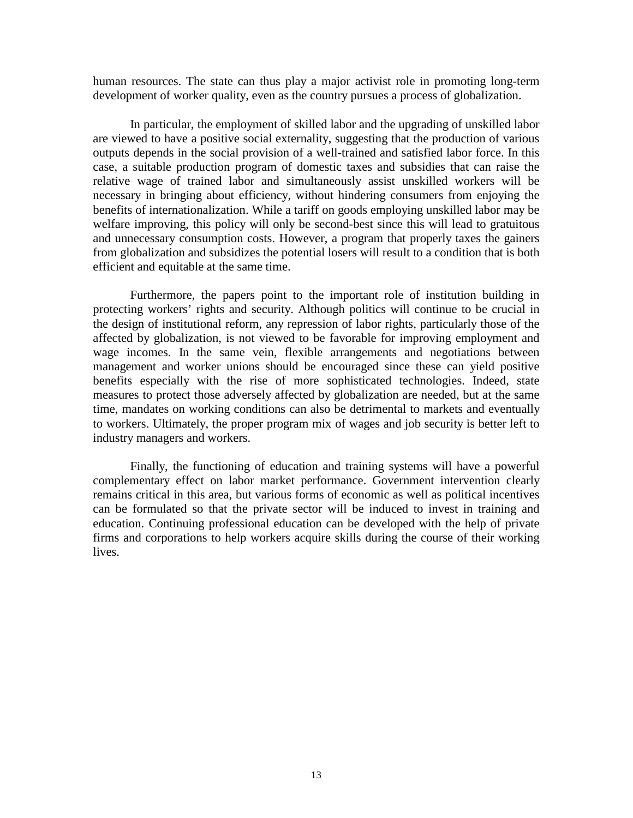human resources. The state can thus play a major activist role in promoting long-term development of worker quality, even as the country pursues a process of globalization.

In particular, the employment of skilled labor and the upgrading of unskilled labor are viewed to have a positive social externality, suggesting that the production of various outputs depends in the social provision of a well-trained and satisfied labor force. In this case, a suitable production program of domestic taxes and subsidies that can raise the relative wage of trained labor and simultaneously assist unskilled workers will be necessary in bringing about efficiency, without hindering consumers from enjoying the benefits of internationalization. While a tariff on goods employing unskilled labor may be welfare improving, this policy will only be second-best since this will lead to gratuitous and unnecessary consumption costs. However, a program that properly taxes the gainers from globalization and subsidizes the potential losers will result to a condition that is both efficient and equitable at the same time.

Furthermore, the papers point to the important role of institution building in protecting workers' rights and security. Although politics will continue to be crucial in the design of institutional reform, any repression of labor rights, particularly those of the affected by globalization, is not viewed to be favorable for improving employment and wage incomes. In the same vein, flexible arrangements and negotiations between management and worker unions should be encouraged since these can yield positive benefits especially with the rise of more sophisticated technologies. Indeed, state measures to protect those adversely affected by globalization are needed, but at the same time, mandates on working conditions can also be detrimental to markets and eventually to workers. Ultimately, the proper program mix of wages and job security is better left to industry managers and workers.

Finally, the functioning of education and training systems will have a powerful complementary effect on labor market performance. Government intervention clearly remains critical in this area, but various forms of economic as well as political incentives can be formulated so that the private sector will be induced to invest in training and education. Continuing professional education can be developed with the help of private firms and corporations to help workers acquire skills during the course of their working lives.